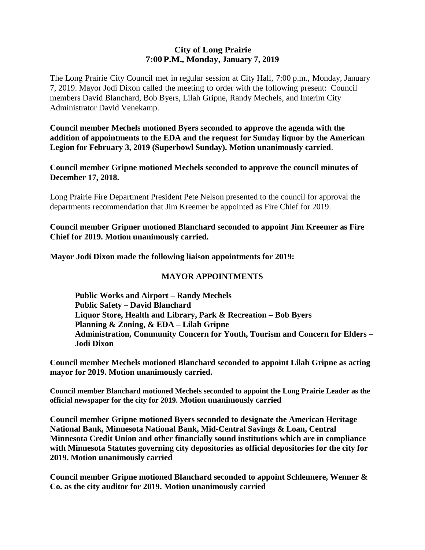#### **City of Long Prairie 7:00P.M., Monday, January 7, 2019**

The Long Prairie City Council met in regular session at City Hall, 7:00 p.m., Monday, January 7, 2019. Mayor Jodi Dixon called the meeting to order with the following present: Council members David Blanchard, Bob Byers, Lilah Gripne, Randy Mechels, and Interim City Administrator David Venekamp.

**Council member Mechels motioned Byers seconded to approve the agenda with the addition of appointments to the EDA and the request for Sunday liquor by the American Legion for February 3, 2019 (Superbowl Sunday). Motion unanimously carried**.

**Council member Gripne motioned Mechels seconded to approve the council minutes of December 17, 2018.**

Long Prairie Fire Department President Pete Nelson presented to the council for approval the departments recommendation that Jim Kreemer be appointed as Fire Chief for 2019.

**Council member Gripner motioned Blanchard seconded to appoint Jim Kreemer as Fire Chief for 2019. Motion unanimously carried.** 

**Mayor Jodi Dixon made the following liaison appointments for 2019:**

### **MAYOR APPOINTMENTS**

**Public Works and Airport – Randy Mechels Public Safety – David Blanchard Liquor Store, Health and Library, Park & Recreation – Bob Byers Planning & Zoning, & EDA – Lilah Gripne Administration, Community Concern for Youth, Tourism and Concern for Elders – Jodi Dixon**

**Council member Mechels motioned Blanchard seconded to appoint Lilah Gripne as acting mayor for 2019. Motion unanimously carried.**

**Council member Blanchard motioned Mechels seconded to appoint the Long Prairie Leader as the official newspaper for the city for 2019. Motion unanimously carried**

**Council member Gripne motioned Byers seconded to designate the American Heritage National Bank, Minnesota National Bank, Mid-Central Savings & Loan, Central Minnesota Credit Union and other financially sound institutions which are in compliance with Minnesota Statutes governing city depositories as official depositories for the city for 2019. Motion unanimously carried**

**Council member Gripne motioned Blanchard seconded to appoint Schlennere, Wenner & Co. as the city auditor for 2019. Motion unanimously carried**